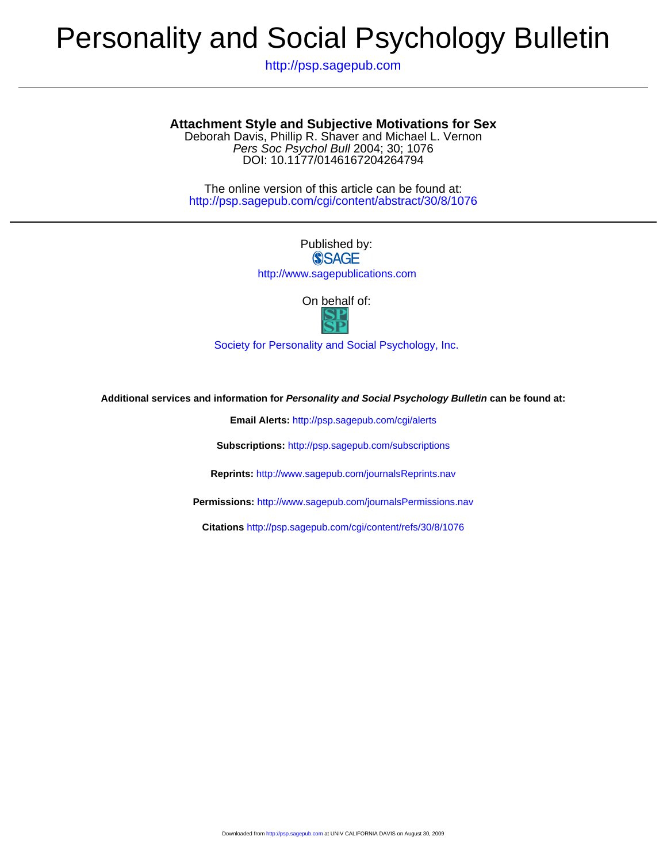# Personality and Social Psychology Bulletin

http://psp.sagepub.com

# **Attachment Style and Subjective Motivations for Sex**

DOI: 10.1177/0146167204264794 Pers Soc Psychol Bull 2004; 30; 1076 Deborah Davis, Phillip R. Shaver and Michael L. Vernon

http://psp.sagepub.com/cgi/content/abstract/30/8/1076 The online version of this article can be found at:

# Published by: **SSAGE**

http://www.sagepublications.com

On behalf of:



[Society for Personality and Social Psychology, Inc.](http://www.spsp.org/)

**Additional services and information for Personality and Social Psychology Bulletin can be found at:**

**Email Alerts:** <http://psp.sagepub.com/cgi/alerts>

**Subscriptions:** <http://psp.sagepub.com/subscriptions>

**Reprints:** <http://www.sagepub.com/journalsReprints.nav>

**Permissions:** <http://www.sagepub.com/journalsPermissions.nav>

**Citations** <http://psp.sagepub.com/cgi/content/refs/30/8/1076>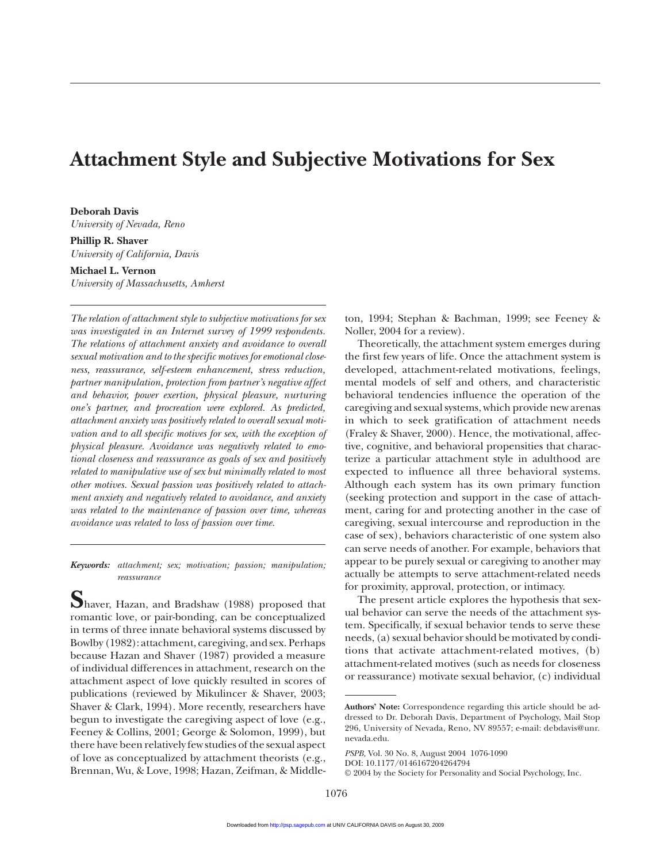# **Attachment Style and Subjective Motivations for Sex**

**Deborah Davis** *University of Nevada, Reno*

**Phillip R. Shaver** *University of California, Davis*

**Michael L. Vernon**

*University of Massachusetts, Amherst*

*The relation of attachment style to subjective motivations for sex was investigated in an Internet survey of 1999 respondents. The relations of attachment anxiety and avoidance to overall sexual motivation and to the specific motives for emotional closeness, reassurance, self-esteem enhancement, stress reduction, partner manipulation, protection from partner's negative affect and behavior, power exertion, physical pleasure, nurturing one's partner, and procreation were explored. As predicted, attachment anxiety was positively related to overall sexual motivation and to all specific motives for sex, with the exception of physical pleasure. Avoidance was negatively related to emotional closeness and reassurance as goals of sex and positively related to manipulative use of sex but minimally related to most other motives. Sexual passion was positively related to attachment anxiety and negatively related to avoidance, and anxiety was related to the maintenance of passion over time, whereas avoidance was related to loss of passion over time.*

*Keywords: attachment; sex; motivation; passion; manipulation; reassurance*

**S**haver, Hazan, and Bradshaw (1988) proposed that romantic love, or pair-bonding, can be conceptualized in terms of three innate behavioral systems discussed by Bowlby (1982): attachment, caregiving, and sex. Perhaps because Hazan and Shaver (1987) provided a measure of individual differences in attachment, research on the attachment aspect of love quickly resulted in scores of publications (reviewed by Mikulincer & Shaver, 2003; Shaver & Clark, 1994). More recently, researchers have begun to investigate the caregiving aspect of love (e.g., Feeney & Collins, 2001; George & Solomon, 1999), but there have been relatively few studies of the sexual aspect of love as conceptualized by attachment theorists (e.g., Brennan, Wu, & Love, 1998; Hazan, Zeifman, & Middleton, 1994; Stephan & Bachman, 1999; see Feeney & Noller, 2004 for a review).

Theoretically, the attachment system emerges during the first few years of life. Once the attachment system is developed, attachment-related motivations, feelings, mental models of self and others, and characteristic behavioral tendencies influence the operation of the caregiving and sexual systems, which provide new arenas in which to seek gratification of attachment needs (Fraley & Shaver, 2000). Hence, the motivational, affective, cognitive, and behavioral propensities that characterize a particular attachment style in adulthood are expected to influence all three behavioral systems. Although each system has its own primary function (seeking protection and support in the case of attachment, caring for and protecting another in the case of caregiving, sexual intercourse and reproduction in the case of sex), behaviors characteristic of one system also can serve needs of another. For example, behaviors that appear to be purely sexual or caregiving to another may actually be attempts to serve attachment-related needs for proximity, approval, protection, or intimacy.

The present article explores the hypothesis that sexual behavior can serve the needs of the attachment system. Specifically, if sexual behavior tends to serve these needs, (a) sexual behavior should be motivated by conditions that activate attachment-related motives, (b) attachment-related motives (such as needs for closeness or reassurance) motivate sexual behavior, (c) individual

**Authors' Note:** Correspondence regarding this article should be addressed to Dr. Deborah Davis, Department of Psychology, Mail Stop 296, University of Nevada, Reno, NV 89557; e-mail: debdavis@unr. nevada.edu.

*PSPB,* Vol. 30 No. 8, August 2004 1076-1090

DOI: 10.1177/0146167204264794

<sup>© 2004</sup> by the Society for Personality and Social Psychology, Inc.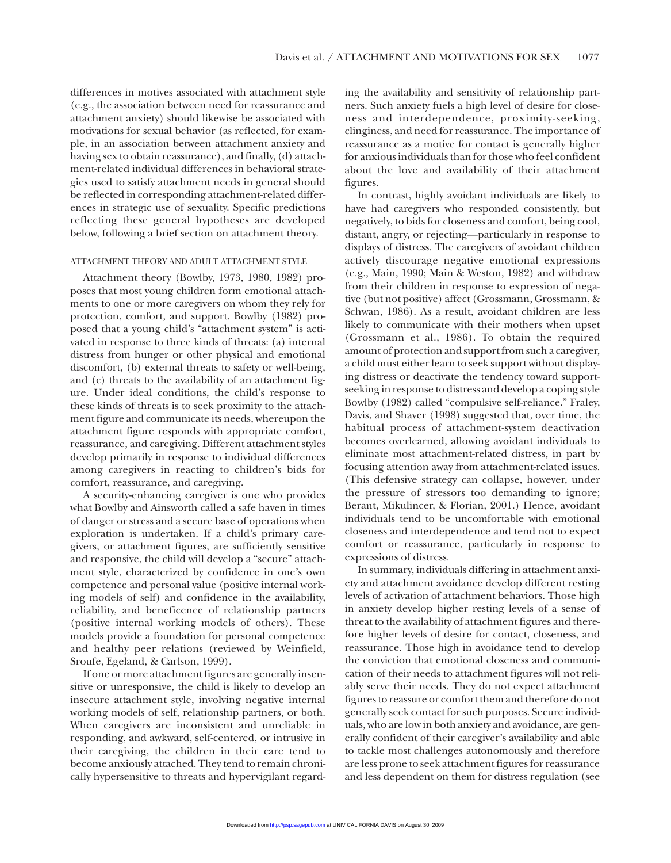differences in motives associated with attachment style (e.g., the association between need for reassurance and attachment anxiety) should likewise be associated with motivations for sexual behavior (as reflected, for example, in an association between attachment anxiety and having sex to obtain reassurance), and finally, (d) attachment-related individual differences in behavioral strategies used to satisfy attachment needs in general should be reflected in corresponding attachment-related differences in strategic use of sexuality. Specific predictions reflecting these general hypotheses are developed below, following a brief section on attachment theory.

# ATTACHMENT THEORY AND ADULT ATTACHMENT STYLE

Attachment theory (Bowlby, 1973, 1980, 1982) proposes that most young children form emotional attachments to one or more caregivers on whom they rely for protection, comfort, and support. Bowlby (1982) proposed that a young child's "attachment system" is activated in response to three kinds of threats: (a) internal distress from hunger or other physical and emotional discomfort, (b) external threats to safety or well-being, and (c) threats to the availability of an attachment figure. Under ideal conditions, the child's response to these kinds of threats is to seek proximity to the attachment figure and communicate its needs, whereupon the attachment figure responds with appropriate comfort, reassurance, and caregiving. Different attachment styles develop primarily in response to individual differences among caregivers in reacting to children's bids for comfort, reassurance, and caregiving.

A security-enhancing caregiver is one who provides what Bowlby and Ainsworth called a safe haven in times of danger or stress and a secure base of operations when exploration is undertaken. If a child's primary caregivers, or attachment figures, are sufficiently sensitive and responsive, the child will develop a "secure" attachment style, characterized by confidence in one's own competence and personal value (positive internal working models of self) and confidence in the availability, reliability, and beneficence of relationship partners (positive internal working models of others). These models provide a foundation for personal competence and healthy peer relations (reviewed by Weinfield, Sroufe, Egeland, & Carlson, 1999).

If one or more attachment figures are generally insensitive or unresponsive, the child is likely to develop an insecure attachment style, involving negative internal working models of self, relationship partners, or both. When caregivers are inconsistent and unreliable in responding, and awkward, self-centered, or intrusive in their caregiving, the children in their care tend to become anxiously attached. They tend to remain chronically hypersensitive to threats and hypervigilant regarding the availability and sensitivity of relationship partners. Such anxiety fuels a high level of desire for closeness and interdependence, proximity-seeking, clinginess, and need for reassurance. The importance of reassurance as a motive for contact is generally higher for anxious individuals than for those who feel confident about the love and availability of their attachment figures.

In contrast, highly avoidant individuals are likely to have had caregivers who responded consistently, but negatively, to bids for closeness and comfort, being cool, distant, angry, or rejecting—particularly in response to displays of distress. The caregivers of avoidant children actively discourage negative emotional expressions (e.g., Main, 1990; Main & Weston, 1982) and withdraw from their children in response to expression of negative (but not positive) affect (Grossmann, Grossmann, & Schwan, 1986). As a result, avoidant children are less likely to communicate with their mothers when upset (Grossmann et al., 1986). To obtain the required amount of protection and support from such a caregiver, a child must either learn to seek support without displaying distress or deactivate the tendency toward supportseeking in response to distress and develop a coping style Bowlby (1982) called "compulsive self-reliance." Fraley, Davis, and Shaver (1998) suggested that, over time, the habitual process of attachment-system deactivation becomes overlearned, allowing avoidant individuals to eliminate most attachment-related distress, in part by focusing attention away from attachment-related issues. (This defensive strategy can collapse, however, under the pressure of stressors too demanding to ignore; Berant, Mikulincer, & Florian, 2001.) Hence, avoidant individuals tend to be uncomfortable with emotional closeness and interdependence and tend not to expect comfort or reassurance, particularly in response to expressions of distress.

In summary, individuals differing in attachment anxiety and attachment avoidance develop different resting levels of activation of attachment behaviors. Those high in anxiety develop higher resting levels of a sense of threat to the availability of attachment figures and therefore higher levels of desire for contact, closeness, and reassurance. Those high in avoidance tend to develop the conviction that emotional closeness and communication of their needs to attachment figures will not reliably serve their needs. They do not expect attachment figures to reassure or comfort them and therefore do not generally seek contact for such purposes. Secure individuals, who are low in both anxiety and avoidance, are generally confident of their caregiver's availability and able to tackle most challenges autonomously and therefore are less prone to seek attachment figures for reassurance and less dependent on them for distress regulation (see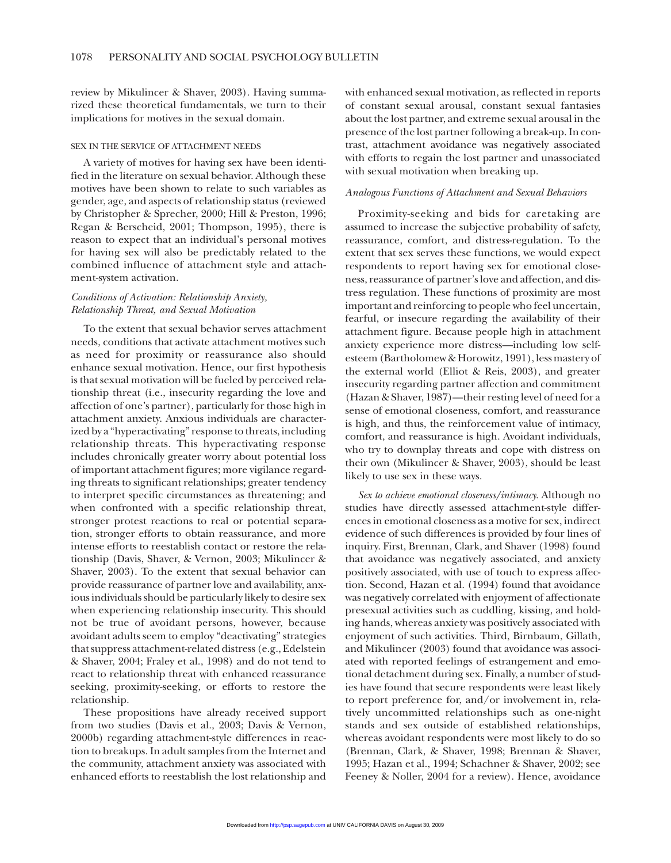review by Mikulincer & Shaver, 2003). Having summarized these theoretical fundamentals, we turn to their implications for motives in the sexual domain.

#### SEX IN THE SERVICE OF ATTACHMENT NEEDS

A variety of motives for having sex have been identified in the literature on sexual behavior. Although these motives have been shown to relate to such variables as gender, age, and aspects of relationship status (reviewed by Christopher & Sprecher, 2000; Hill & Preston, 1996; Regan & Berscheid, 2001; Thompson, 1995), there is reason to expect that an individual's personal motives for having sex will also be predictably related to the combined influence of attachment style and attachment-system activation.

# *Conditions of Activation: Relationship Anxiety, Relationship Threat, and Sexual Motivation*

To the extent that sexual behavior serves attachment needs, conditions that activate attachment motives such as need for proximity or reassurance also should enhance sexual motivation. Hence, our first hypothesis is that sexual motivation will be fueled by perceived relationship threat (i.e., insecurity regarding the love and affection of one's partner), particularly for those high in attachment anxiety. Anxious individuals are characterized by a "hyperactivating" response to threats, including relationship threats. This hyperactivating response includes chronically greater worry about potential loss of important attachment figures; more vigilance regarding threats to significant relationships; greater tendency to interpret specific circumstances as threatening; and when confronted with a specific relationship threat, stronger protest reactions to real or potential separation, stronger efforts to obtain reassurance, and more intense efforts to reestablish contact or restore the relationship (Davis, Shaver, & Vernon, 2003; Mikulincer & Shaver, 2003). To the extent that sexual behavior can provide reassurance of partner love and availability, anxious individuals should be particularly likely to desire sex when experiencing relationship insecurity. This should not be true of avoidant persons, however, because avoidant adults seem to employ "deactivating" strategies that suppress attachment-related distress (e.g., Edelstein & Shaver, 2004; Fraley et al., 1998) and do not tend to react to relationship threat with enhanced reassurance seeking, proximity-seeking, or efforts to restore the relationship.

These propositions have already received support from two studies (Davis et al., 2003; Davis & Vernon, 2000b) regarding attachment-style differences in reaction to breakups. In adult samples from the Internet and the community, attachment anxiety was associated with enhanced efforts to reestablish the lost relationship and

with enhanced sexual motivation, as reflected in reports of constant sexual arousal, constant sexual fantasies about the lost partner, and extreme sexual arousal in the presence of the lost partner following a break-up. In contrast, attachment avoidance was negatively associated with efforts to regain the lost partner and unassociated with sexual motivation when breaking up.

# *Analogous Functions of Attachment and Sexual Behaviors*

Proximity-seeking and bids for caretaking are assumed to increase the subjective probability of safety, reassurance, comfort, and distress-regulation. To the extent that sex serves these functions, we would expect respondents to report having sex for emotional closeness, reassurance of partner's love and affection, and distress regulation. These functions of proximity are most important and reinforcing to people who feel uncertain, fearful, or insecure regarding the availability of their attachment figure. Because people high in attachment anxiety experience more distress—including low selfesteem (Bartholomew & Horowitz, 1991), less mastery of the external world (Elliot & Reis, 2003), and greater insecurity regarding partner affection and commitment (Hazan & Shaver, 1987)—their resting level of need for a sense of emotional closeness, comfort, and reassurance is high, and thus, the reinforcement value of intimacy, comfort, and reassurance is high. Avoidant individuals, who try to downplay threats and cope with distress on their own (Mikulincer & Shaver, 2003), should be least likely to use sex in these ways.

*Sex to achieve emotional closeness/intimacy*. Although no studies have directly assessed attachment-style differences in emotional closeness as a motive for sex, indirect evidence of such differences is provided by four lines of inquiry. First, Brennan, Clark, and Shaver (1998) found that avoidance was negatively associated, and anxiety positively associated, with use of touch to express affection. Second, Hazan et al. (1994) found that avoidance was negatively correlated with enjoyment of affectionate presexual activities such as cuddling, kissing, and holding hands, whereas anxiety was positively associated with enjoyment of such activities. Third, Birnbaum, Gillath, and Mikulincer (2003) found that avoidance was associated with reported feelings of estrangement and emotional detachment during sex. Finally, a number of studies have found that secure respondents were least likely to report preference for, and/or involvement in, relatively uncommitted relationships such as one-night stands and sex outside of established relationships, whereas avoidant respondents were most likely to do so (Brennan, Clark, & Shaver, 1998; Brennan & Shaver, 1995; Hazan et al., 1994; Schachner & Shaver, 2002; see Feeney & Noller, 2004 for a review). Hence, avoidance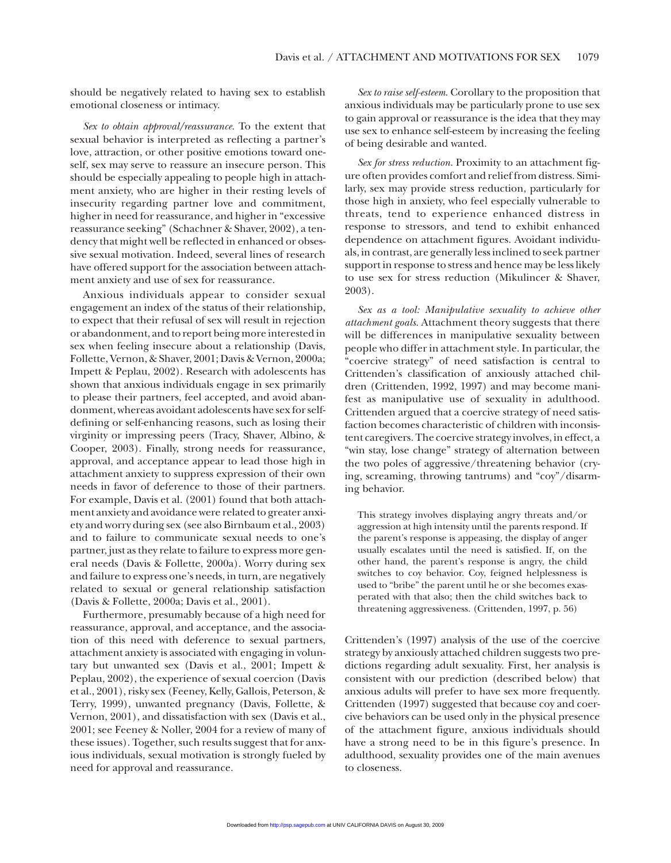should be negatively related to having sex to establish emotional closeness or intimacy.

*Sex to obtain approval/reassurance*. To the extent that sexual behavior is interpreted as reflecting a partner's love, attraction, or other positive emotions toward oneself, sex may serve to reassure an insecure person. This should be especially appealing to people high in attachment anxiety, who are higher in their resting levels of insecurity regarding partner love and commitment, higher in need for reassurance, and higher in "excessive reassurance seeking" (Schachner & Shaver, 2002), a tendency that might well be reflected in enhanced or obsessive sexual motivation. Indeed, several lines of research have offered support for the association between attachment anxiety and use of sex for reassurance.

Anxious individuals appear to consider sexual engagement an index of the status of their relationship, to expect that their refusal of sex will result in rejection or abandonment, and to report being more interested in sex when feeling insecure about a relationship (Davis, Follette, Vernon, & Shaver, 2001; Davis & Vernon, 2000a; Impett & Peplau, 2002). Research with adolescents has shown that anxious individuals engage in sex primarily to please their partners, feel accepted, and avoid abandonment, whereas avoidant adolescents have sex for selfdefining or self-enhancing reasons, such as losing their virginity or impressing peers (Tracy, Shaver, Albino, & Cooper, 2003). Finally, strong needs for reassurance, approval, and acceptance appear to lead those high in attachment anxiety to suppress expression of their own needs in favor of deference to those of their partners. For example, Davis et al. (2001) found that both attachment anxiety and avoidance were related to greater anxiety and worry during sex (see also Birnbaum et al., 2003) and to failure to communicate sexual needs to one's partner, just as they relate to failure to express more general needs (Davis & Follette, 2000a). Worry during sex and failure to express one's needs, in turn, are negatively related to sexual or general relationship satisfaction (Davis & Follette, 2000a; Davis et al., 2001).

Furthermore, presumably because of a high need for reassurance, approval, and acceptance, and the association of this need with deference to sexual partners, attachment anxiety is associated with engaging in voluntary but unwanted sex (Davis et al., 2001; Impett & Peplau, 2002), the experience of sexual coercion (Davis et al., 2001), risky sex (Feeney, Kelly, Gallois, Peterson, & Terry, 1999), unwanted pregnancy (Davis, Follette, & Vernon, 2001), and dissatisfaction with sex (Davis et al., 2001; see Feeney & Noller, 2004 for a review of many of these issues). Together, such results suggest that for anxious individuals, sexual motivation is strongly fueled by need for approval and reassurance.

*Sex to raise self-esteem*. Corollary to the proposition that anxious individuals may be particularly prone to use sex to gain approval or reassurance is the idea that they may use sex to enhance self-esteem by increasing the feeling of being desirable and wanted.

*Sex for stress reduction*. Proximity to an attachment figure often provides comfort and relief from distress. Similarly, sex may provide stress reduction, particularly for those high in anxiety, who feel especially vulnerable to threats, tend to experience enhanced distress in response to stressors, and tend to exhibit enhanced dependence on attachment figures. Avoidant individuals, in contrast, are generally less inclined to seek partner support in response to stress and hence may be less likely to use sex for stress reduction (Mikulincer & Shaver, 2003).

*Sex as a tool: Manipulative sexuality to achieve other attachment goals*. Attachment theory suggests that there will be differences in manipulative sexuality between people who differ in attachment style. In particular, the "coercive strategy" of need satisfaction is central to Crittenden's classification of anxiously attached children (Crittenden, 1992, 1997) and may become manifest as manipulative use of sexuality in adulthood. Crittenden argued that a coercive strategy of need satisfaction becomes characteristic of children with inconsistent caregivers. The coercive strategy involves, in effect, a "win stay, lose change" strategy of alternation between the two poles of aggressive/threatening behavior (crying, screaming, throwing tantrums) and "coy"/disarming behavior.

This strategy involves displaying angry threats and/or aggression at high intensity until the parents respond. If the parent's response is appeasing, the display of anger usually escalates until the need is satisfied. If, on the other hand, the parent's response is angry, the child switches to coy behavior. Coy, feigned helplessness is used to "bribe" the parent until he or she becomes exasperated with that also; then the child switches back to threatening aggressiveness. (Crittenden, 1997, p. 56)

Crittenden's (1997) analysis of the use of the coercive strategy by anxiously attached children suggests two predictions regarding adult sexuality. First, her analysis is consistent with our prediction (described below) that anxious adults will prefer to have sex more frequently. Crittenden (1997) suggested that because coy and coercive behaviors can be used only in the physical presence of the attachment figure, anxious individuals should have a strong need to be in this figure's presence. In adulthood, sexuality provides one of the main avenues to closeness.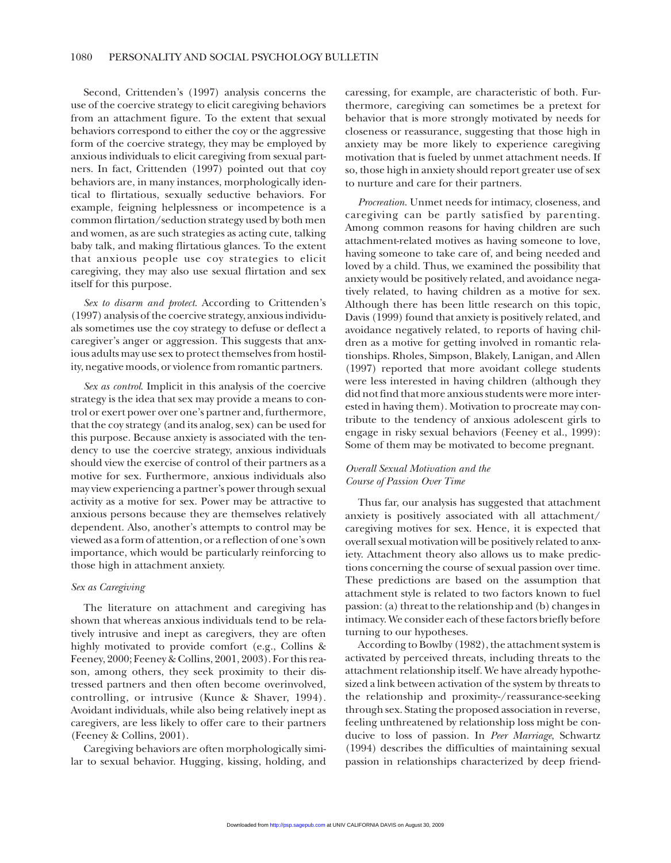Second, Crittenden's (1997) analysis concerns the use of the coercive strategy to elicit caregiving behaviors from an attachment figure. To the extent that sexual behaviors correspond to either the coy or the aggressive form of the coercive strategy, they may be employed by anxious individuals to elicit caregiving from sexual partners. In fact, Crittenden (1997) pointed out that coy behaviors are, in many instances, morphologically identical to flirtatious, sexually seductive behaviors. For example, feigning helplessness or incompetence is a common flirtation/seduction strategy used by both men and women, as are such strategies as acting cute, talking baby talk, and making flirtatious glances. To the extent that anxious people use coy strategies to elicit caregiving, they may also use sexual flirtation and sex itself for this purpose.

*Sex to disarm and protect*. According to Crittenden's (1997) analysis of the coercive strategy, anxious individuals sometimes use the coy strategy to defuse or deflect a caregiver's anger or aggression. This suggests that anxious adults may use sex to protect themselves from hostility, negative moods, or violence from romantic partners.

*Sex as control*. Implicit in this analysis of the coercive strategy is the idea that sex may provide a means to control or exert power over one's partner and, furthermore, that the coy strategy (and its analog, sex) can be used for this purpose. Because anxiety is associated with the tendency to use the coercive strategy, anxious individuals should view the exercise of control of their partners as a motive for sex. Furthermore, anxious individuals also may view experiencing a partner's power through sexual activity as a motive for sex. Power may be attractive to anxious persons because they are themselves relatively dependent. Also, another's attempts to control may be viewed as a form of attention, or a reflection of one's own importance, which would be particularly reinforcing to those high in attachment anxiety.

# *Sex as Caregiving*

The literature on attachment and caregiving has shown that whereas anxious individuals tend to be relatively intrusive and inept as caregivers, they are often highly motivated to provide comfort (e.g., Collins & Feeney, 2000; Feeney & Collins, 2001, 2003). For this reason, among others, they seek proximity to their distressed partners and then often become overinvolved, controlling, or intrusive (Kunce & Shaver, 1994). Avoidant individuals, while also being relatively inept as caregivers, are less likely to offer care to their partners (Feeney & Collins, 2001).

Caregiving behaviors are often morphologically similar to sexual behavior. Hugging, kissing, holding, and caressing, for example, are characteristic of both. Furthermore, caregiving can sometimes be a pretext for behavior that is more strongly motivated by needs for closeness or reassurance, suggesting that those high in anxiety may be more likely to experience caregiving motivation that is fueled by unmet attachment needs. If so, those high in anxiety should report greater use of sex to nurture and care for their partners.

*Procreation*. Unmet needs for intimacy, closeness, and caregiving can be partly satisfied by parenting. Among common reasons for having children are such attachment-related motives as having someone to love, having someone to take care of, and being needed and loved by a child. Thus, we examined the possibility that anxiety would be positively related, and avoidance negatively related, to having children as a motive for sex. Although there has been little research on this topic, Davis (1999) found that anxiety is positively related, and avoidance negatively related, to reports of having children as a motive for getting involved in romantic relationships. Rholes, Simpson, Blakely, Lanigan, and Allen (1997) reported that more avoidant college students were less interested in having children (although they did not find that more anxious students were more interested in having them). Motivation to procreate may contribute to the tendency of anxious adolescent girls to engage in risky sexual behaviors (Feeney et al., 1999): Some of them may be motivated to become pregnant.

# *Overall Sexual Motivation and the Course of Passion Over Time*

Thus far, our analysis has suggested that attachment anxiety is positively associated with all attachment/ caregiving motives for sex. Hence, it is expected that overall sexual motivation will be positively related to anxiety. Attachment theory also allows us to make predictions concerning the course of sexual passion over time. These predictions are based on the assumption that attachment style is related to two factors known to fuel passion: (a) threat to the relationship and (b) changes in intimacy. We consider each of these factors briefly before turning to our hypotheses.

According to Bowlby (1982), the attachment system is activated by perceived threats, including threats to the attachment relationship itself. We have already hypothesized a link between activation of the system by threats to the relationship and proximity-/reassurance-seeking through sex. Stating the proposed association in reverse, feeling unthreatened by relationship loss might be conducive to loss of passion. In *Peer Marriage*, Schwartz (1994) describes the difficulties of maintaining sexual passion in relationships characterized by deep friend-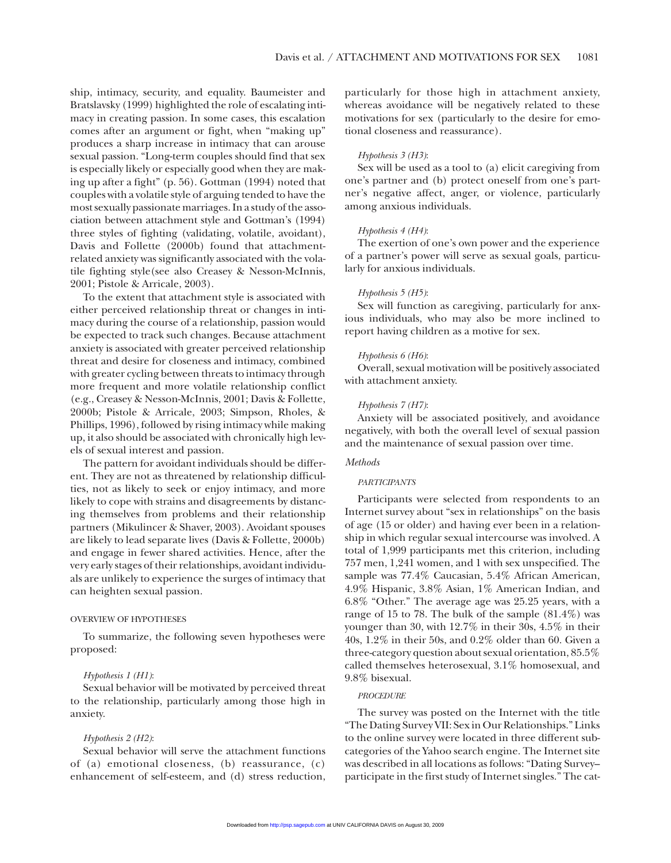ship, intimacy, security, and equality. Baumeister and Bratslavsky (1999) highlighted the role of escalating intimacy in creating passion. In some cases, this escalation comes after an argument or fight, when "making up" produces a sharp increase in intimacy that can arouse sexual passion. "Long-term couples should find that sex is especially likely or especially good when they are making up after a fight" (p. 56). Gottman (1994) noted that couples with a volatile style of arguing tended to have the most sexually passionate marriages. In a study of the association between attachment style and Gottman's (1994) three styles of fighting (validating, volatile, avoidant), Davis and Follette (2000b) found that attachmentrelated anxiety was significantly associated with the volatile fighting style(see also Creasey & Nesson-McInnis, 2001; Pistole & Arricale, 2003).

To the extent that attachment style is associated with either perceived relationship threat or changes in intimacy during the course of a relationship, passion would be expected to track such changes. Because attachment anxiety is associated with greater perceived relationship threat and desire for closeness and intimacy, combined with greater cycling between threats to intimacy through more frequent and more volatile relationship conflict (e.g., Creasey & Nesson-McInnis, 2001; Davis & Follette, 2000b; Pistole & Arricale, 2003; Simpson, Rholes, & Phillips, 1996), followed by rising intimacy while making up, it also should be associated with chronically high levels of sexual interest and passion.

The pattern for avoidant individuals should be different. They are not as threatened by relationship difficulties, not as likely to seek or enjoy intimacy, and more likely to cope with strains and disagreements by distancing themselves from problems and their relationship partners (Mikulincer & Shaver, 2003). Avoidant spouses are likely to lead separate lives (Davis & Follette, 2000b) and engage in fewer shared activities. Hence, after the very early stages of their relationships, avoidant individuals are unlikely to experience the surges of intimacy that can heighten sexual passion.

# OVERVIEW OF HYPOTHESES

To summarize, the following seven hypotheses were proposed:

#### *Hypothesis 1 (H1)*:

Sexual behavior will be motivated by perceived threat to the relationship, particularly among those high in anxiety.

# *Hypothesis 2 (H2)*:

Sexual behavior will serve the attachment functions of (a) emotional closeness, (b) reassurance, (c) enhancement of self-esteem, and (d) stress reduction, particularly for those high in attachment anxiety, whereas avoidance will be negatively related to these motivations for sex (particularly to the desire for emotional closeness and reassurance).

# *Hypothesis 3 (H3)*:

Sex will be used as a tool to (a) elicit caregiving from one's partner and (b) protect oneself from one's partner's negative affect, anger, or violence, particularly among anxious individuals.

# *Hypothesis 4 (H4)*:

The exertion of one's own power and the experience of a partner's power will serve as sexual goals, particularly for anxious individuals.

# *Hypothesis 5 (H5)*:

Sex will function as caregiving, particularly for anxious individuals, who may also be more inclined to report having children as a motive for sex.

# *Hypothesis 6 (H6)*:

Overall, sexual motivation will be positively associated with attachment anxiety.

#### *Hypothesis 7 (H7)*:

Anxiety will be associated positively, and avoidance negatively, with both the overall level of sexual passion and the maintenance of sexual passion over time.

# *Methods*

# *PARTICIPANTS*

Participants were selected from respondents to an Internet survey about "sex in relationships" on the basis of age (15 or older) and having ever been in a relationship in which regular sexual intercourse was involved. A total of 1,999 participants met this criterion, including 757 men, 1,241 women, and 1 with sex unspecified. The sample was 77.4% Caucasian, 5.4% African American, 4.9% Hispanic, 3.8% Asian, 1% American Indian, and 6.8% "Other." The average age was 25.25 years, with a range of 15 to 78. The bulk of the sample (81.4%) was younger than 30, with 12.7% in their 30s, 4.5% in their 40s, 1.2% in their 50s, and 0.2% older than 60. Given a three-category question about sexual orientation, 85.5% called themselves heterosexual, 3.1% homosexual, and 9.8% bisexual.

# *PROCEDURE*

The survey was posted on the Internet with the title "The Dating Survey VII: Sex in Our Relationships." Links to the online survey were located in three different subcategories of the Yahoo search engine. The Internet site was described in all locations as follows: "Dating Survey– participate in the first study of Internet singles." The cat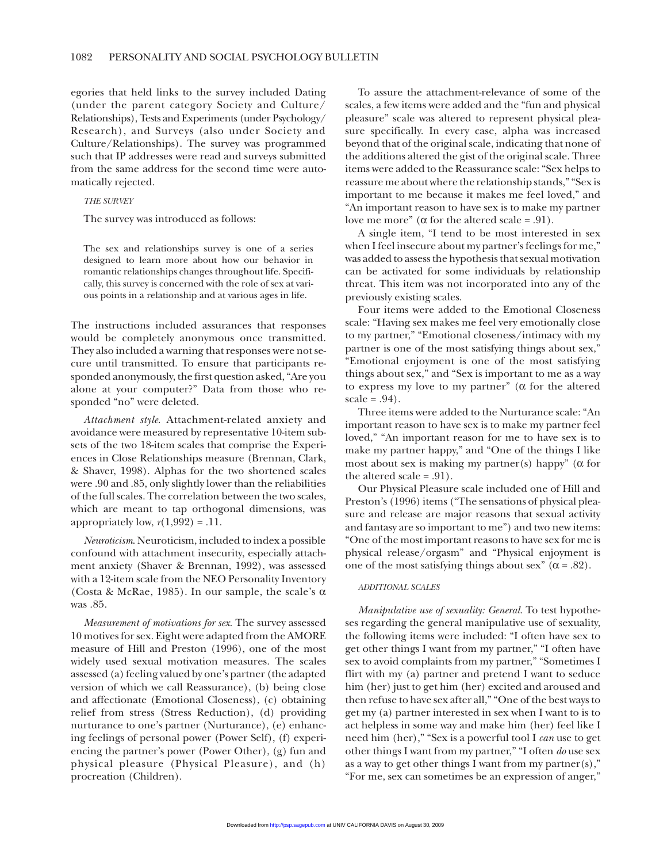egories that held links to the survey included Dating (under the parent category Society and Culture/ Relationships), Tests and Experiments (under Psychology/ Research), and Surveys (also under Society and Culture/Relationships). The survey was programmed such that IP addresses were read and surveys submitted from the same address for the second time were automatically rejected.

#### *THE SURVEY*

The survey was introduced as follows:

The sex and relationships survey is one of a series designed to learn more about how our behavior in romantic relationships changes throughout life. Specifically, this survey is concerned with the role of sex at various points in a relationship and at various ages in life.

The instructions included assurances that responses would be completely anonymous once transmitted. They also included a warning that responses were not secure until transmitted. To ensure that participants responded anonymously, the first question asked, "Are you alone at your computer?" Data from those who responded "no" were deleted.

*Attachment style*. Attachment-related anxiety and avoidance were measured by representative 10-item subsets of the two 18-item scales that comprise the Experiences in Close Relationships measure (Brennan, Clark, & Shaver, 1998). Alphas for the two shortened scales were .90 and .85, only slightly lower than the reliabilities of the full scales. The correlation between the two scales, which are meant to tap orthogonal dimensions, was appropriately low,  $r(1,992) = .11$ .

*Neuroticism*. Neuroticism, included to index a possible confound with attachment insecurity, especially attachment anxiety (Shaver & Brennan, 1992), was assessed with a 12-item scale from the NEO Personality Inventory (Costa & McRae, 1985). In our sample, the scale's  $\alpha$ was .85.

*Measurement of motivations for sex*. The survey assessed 10 motives for sex. Eight were adapted from the AMORE measure of Hill and Preston (1996), one of the most widely used sexual motivation measures. The scales assessed (a) feeling valued by one's partner (the adapted version of which we call Reassurance), (b) being close and affectionate (Emotional Closeness), (c) obtaining relief from stress (Stress Reduction), (d) providing nurturance to one's partner (Nurturance), (e) enhancing feelings of personal power (Power Self), (f) experiencing the partner's power (Power Other), (g) fun and physical pleasure (Physical Pleasure), and (h) procreation (Children).

To assure the attachment-relevance of some of the scales, a few items were added and the "fun and physical pleasure" scale was altered to represent physical pleasure specifically. In every case, alpha was increased beyond that of the original scale, indicating that none of the additions altered the gist of the original scale. Three items were added to the Reassurance scale: "Sex helps to reassure me about where the relationship stands," "Sex is important to me because it makes me feel loved," and "An important reason to have sex is to make my partner love me more" (α for the altered scale = .91).

A single item, "I tend to be most interested in sex when I feel insecure about my partner's feelings for me," was added to assess the hypothesis that sexual motivation can be activated for some individuals by relationship threat. This item was not incorporated into any of the previously existing scales.

Four items were added to the Emotional Closeness scale: "Having sex makes me feel very emotionally close to my partner," "Emotional closeness/intimacy with my partner is one of the most satisfying things about sex," "Emotional enjoyment is one of the most satisfying things about sex," and "Sex is important to me as a way to express my love to my partner" ( $\alpha$  for the altered  $scale = .94$ .

Three items were added to the Nurturance scale: "An important reason to have sex is to make my partner feel loved," "An important reason for me to have sex is to make my partner happy," and "One of the things I like most about sex is making my partner(s) happy" ( $\alpha$  for the altered scale = .91).

Our Physical Pleasure scale included one of Hill and Preston's (1996) items ("The sensations of physical pleasure and release are major reasons that sexual activity and fantasy are so important to me") and two new items: "One of the most important reasons to have sex for me is physical release/orgasm" and "Physical enjoyment is one of the most satisfying things about sex" ( $\alpha$  = .82).

# *ADDITIONAL SCALES*

*Manipulative use of sexuality: General*. To test hypotheses regarding the general manipulative use of sexuality, the following items were included: "I often have sex to get other things I want from my partner," "I often have sex to avoid complaints from my partner," "Sometimes I flirt with my (a) partner and pretend I want to seduce him (her) just to get him (her) excited and aroused and then refuse to have sex after all," "One of the best ways to get my (a) partner interested in sex when I want to is to act helpless in some way and make him (her) feel like I need him (her)," "Sex is a powerful tool I *can* use to get other things I want from my partner," "I often *do* use sex as a way to get other things I want from my partner(s)," "For me, sex can sometimes be an expression of anger,"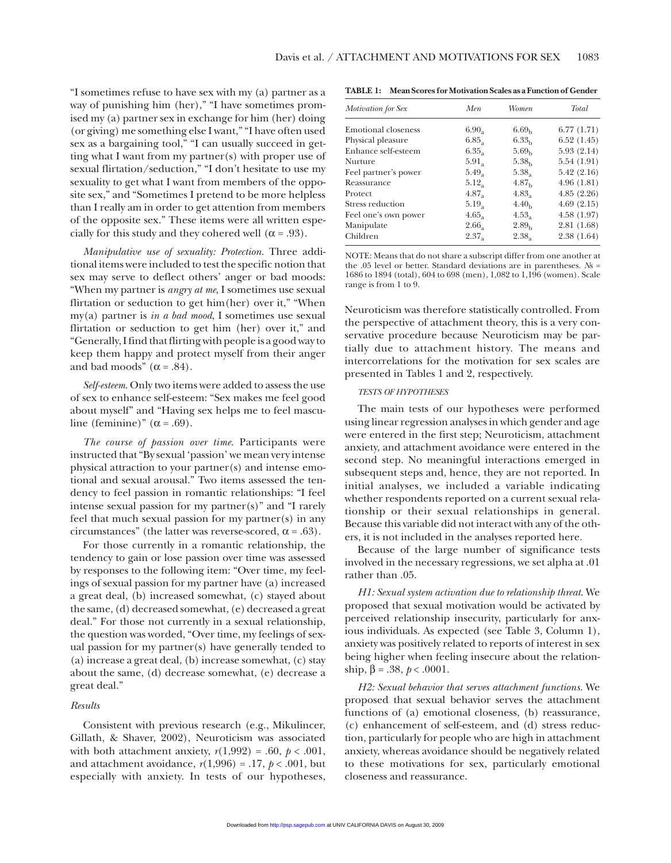"I sometimes refuse to have sex with my (a) partner as a way of punishing him (her)," "I have sometimes promised my (a) partner sex in exchange for him (her) doing (or giving) me something else I want," "I have often used sex as a bargaining tool," "I can usually succeed in getting what I want from my partner(s) with proper use of sexual flirtation/seduction," "I don't hesitate to use my sexuality to get what I want from members of the opposite sex," and "Sometimes I pretend to be more helpless than I really am in order to get attention from members of the opposite sex." These items were all written especially for this study and they cohered well  $(\alpha = .93)$ .

*Manipulative use of sexuality: Protection*. Three additional items were included to test the specific notion that sex may serve to deflect others' anger or bad moods: "When my partner is *angry at me*, I sometimes use sexual flirtation or seduction to get him(her) over it," "When my(a) partner is *in a bad mood*, I sometimes use sexual flirtation or seduction to get him (her) over it," and "Generally, I find that flirting with people is a good way to keep them happy and protect myself from their anger and bad moods"  $(\alpha = .84)$ .

*Self-esteem*. Only two items were added to assess the use of sex to enhance self-esteem: "Sex makes me feel good about myself" and "Having sex helps me to feel masculine (feminine)" ( $\alpha$  = .69).

*The course of passion over time*. Participants were instructed that "By sexual 'passion' we mean very intense physical attraction to your partner(s) and intense emotional and sexual arousal." Two items assessed the tendency to feel passion in romantic relationships: "I feel intense sexual passion for my partner(s)" and "I rarely feel that much sexual passion for my partner(s) in any circumstances" (the latter was reverse-scored,  $\alpha$  = .63).

For those currently in a romantic relationship, the tendency to gain or lose passion over time was assessed by responses to the following item: "Over time, my feelings of sexual passion for my partner have (a) increased a great deal, (b) increased somewhat, (c) stayed about the same, (d) decreased somewhat, (e) decreased a great deal." For those not currently in a sexual relationship, the question was worded, "Over time, my feelings of sexual passion for my partner(s) have generally tended to (a) increase a great deal, (b) increase somewhat, (c) stay about the same, (d) decrease somewhat, (e) decrease a great deal."

# *Results*

Consistent with previous research (e.g., Mikulincer, Gillath, & Shaver, 2002), Neuroticism was associated with both attachment anxiety,  $r(1,992) = .60, p < .001$ , and attachment avoidance,  $r(1,996) = .17$ ,  $p < .001$ , but especially with anxiety. In tests of our hypotheses,

**TABLE 1: Mean Scores for Motivation Scales as a Function of Gender**

| Motivation for Sex         | Men.                | Women               | <b>Total</b> |
|----------------------------|---------------------|---------------------|--------------|
| <b>Emotional closeness</b> | $6.90_{\circ}$      | 6.69 <sub>b</sub>   | 6.77(1.71)   |
| Physical pleasure          | $6.85$ <sub>2</sub> | 6.33 <sub>h</sub>   | 6.52(1.45)   |
| Enhance self-esteem        | 6.35 <sub>2</sub>   | 5.69 <sub>b</sub>   | 5.93(2.14)   |
| Nurture                    | 5.91 <sub>2</sub>   | 5.38 <sub>h</sub>   | 5.54(1.91)   |
| Feel partner's power       | 5.49 <sub>2</sub>   | $5.38_{\rm a}$      | 5.42(2.16)   |
| Reassurance                | 5.12.               | 4.87 <sub>b</sub>   | 4.96(1.81)   |
| Protect                    | 4.87.               | $4.83$ <sub>2</sub> | 4.85(2.26)   |
| Stress reduction           | $5.19_a$            | 4.40 <sub>b</sub>   | 4.69(2.15)   |
| Feel one's own power       | 4.65 <sub>2</sub>   | 4.53 <sub>2</sub>   | 4.58(1.97)   |
| Manipulate                 | $2.66$ <sub>2</sub> | 2.89 <sub>b</sub>   | 2.81(1.68)   |
| Children                   | 2.37 <sub>a</sub>   | 2.38 <sub>2</sub>   | 2.38(1.64)   |

NOTE: Means that do not share a subscript differ from one another at the .05 level or better. Standard deviations are in parentheses. *N*s = 1686 to 1894 (total), 604 to 698 (men), 1,082 to 1,196 (women). Scale range is from 1 to 9.

Neuroticism was therefore statistically controlled. From the perspective of attachment theory, this is a very conservative procedure because Neuroticism may be partially due to attachment history. The means and intercorrelations for the motivation for sex scales are presented in Tables 1 and 2, respectively.

#### *TESTS OF HYPOTHESES*

The main tests of our hypotheses were performed using linear regression analyses in which gender and age were entered in the first step; Neuroticism, attachment anxiety, and attachment avoidance were entered in the second step. No meaningful interactions emerged in subsequent steps and, hence, they are not reported. In initial analyses, we included a variable indicating whether respondents reported on a current sexual relationship or their sexual relationships in general. Because this variable did not interact with any of the others, it is not included in the analyses reported here.

Because of the large number of significance tests involved in the necessary regressions, we set alpha at .01 rather than .05.

*H1: Sexual system activation due to relationship threat*. We proposed that sexual motivation would be activated by perceived relationship insecurity, particularly for anxious individuals. As expected (see Table 3, Column 1), anxiety was positively related to reports of interest in sex being higher when feeling insecure about the relationship,  $\beta = .38, \, \rho < .0001$ .

*H2: Sexual behavior that serves attachment functions*. We proposed that sexual behavior serves the attachment functions of (a) emotional closeness, (b) reassurance, (c) enhancement of self-esteem, and (d) stress reduction, particularly for people who are high in attachment anxiety, whereas avoidance should be negatively related to these motivations for sex, particularly emotional closeness and reassurance.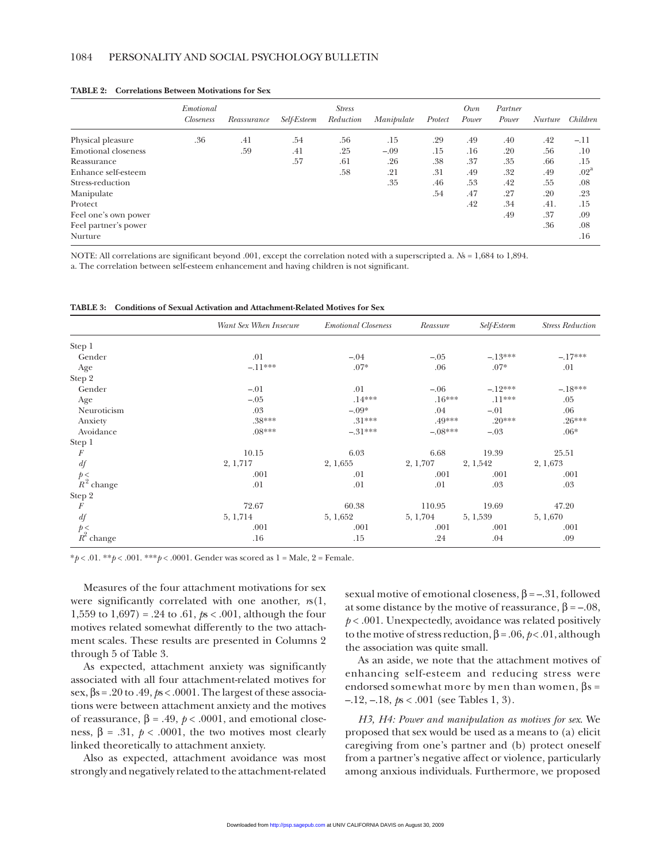#### **TABLE 2: Correlations Between Motivations for Sex**

|                            | Emotional        |             | <b>Stress</b> |           |            |         | Own   | Partner |                |                  |
|----------------------------|------------------|-------------|---------------|-----------|------------|---------|-------|---------|----------------|------------------|
|                            | <b>Closeness</b> | Reassurance | Self-Esteem   | Reduction | Manipulate | Protect | Power | Power   | <i>Nurture</i> | Children         |
| Physical pleasure          | .36              | .41         | .54           | .56       | .15        | .29     | .49   | .40     | .42            | $-.11$           |
| <b>Emotional closeness</b> |                  | .59         | .41           | .25       | $-.09$     | .15     | .16   | .20     | .56            | .10              |
| Reassurance                |                  |             | .57           | .61       | .26        | .38     | .37   | .35     | .66            | .15              |
| Enhance self-esteem        |                  |             |               | .58       | .21        | .31     | .49   | .32     | .49            | .02 <sup>a</sup> |
| Stress-reduction           |                  |             |               |           | .35        | .46     | .53   | .42     | .55            | .08              |
| Manipulate                 |                  |             |               |           |            | .54     | .47   | .27     | .20            | .23              |
| Protect                    |                  |             |               |           |            |         | .42   | .34     | .41.           | .15              |
| Feel one's own power       |                  |             |               |           |            |         |       | .49     | .37            | .09              |
| Feel partner's power       |                  |             |               |           |            |         |       |         | .36            | .08              |
| Nurture                    |                  |             |               |           |            |         |       |         |                | .16              |

NOTE: All correlations are significant beyond .001, except the correlation noted with a superscripted a. *N*s = 1,684 to 1,894. a. The correlation between self-esteem enhancement and having children is not significant.

|                                                                            | Want Sex When Insecure | <b>Emotional Closeness</b> | Reassure  | Self-Esteem | <b>Stress Reduction</b> |
|----------------------------------------------------------------------------|------------------------|----------------------------|-----------|-------------|-------------------------|
| Step 1                                                                     |                        |                            |           |             |                         |
| Gender                                                                     | .01                    | $-.04$                     | $-.05$    | $-.13***$   | $-.17***$               |
| Age                                                                        | $-.11***$              | $.07*$                     | .06       | $.07*$      | .01                     |
| Step 2                                                                     |                        |                            |           |             |                         |
| Gender                                                                     | $-.01$                 | .01                        | $-.06$    | $-.12***$   | $-.18***$               |
| Age                                                                        | $-.05$                 | $.14***$                   | $.16***$  | $.11***$    | .05                     |
| Neuroticism                                                                | .03                    | $-.09*$                    | .04       | $-.01$      | .06                     |
| Anxiety                                                                    | $.38***$               | $.31***$                   | .49***    | $.20***$    | $.26***$                |
| Avoidance                                                                  | $.08***$               | $-.31***$                  | $-.08***$ | $-.03$      | $.06*$                  |
| Step 1                                                                     |                        |                            |           |             |                         |
| F                                                                          | 10.15                  | 6.03                       | 6.68      | 19.39       | 25.51                   |
| df                                                                         | 2, 1,717               | 2, 1,655                   | 2, 1,707  | 2, 1, 542   | 2, 1,673                |
|                                                                            | .001                   | .01                        | .001      | .001        | .001                    |
| $\displaystyle{{\frac{\displaystyle p\,<}{\displaystyle R^{\,2}}}}$ change | .01                    | .01                        | .01       | .03         | .03                     |
| Step 2                                                                     |                        |                            |           |             |                         |
| $\overline{F}$                                                             | 72.67                  | 60.38                      | 110.95    | 19.69       | 47.20                   |
| df                                                                         | 5, 1,714               | 5, 1,652                   | 5, 1,704  | 5, 1, 539   | 5, 1,670                |
|                                                                            | .001                   | .001                       | .001      | .001        | .001                    |
| $p < R^2$ change                                                           | .16                    | .15                        | .24       | .04         | .09                     |

\**p* < .01. \*\**p* < .001. \*\*\**p* < .0001. Gender was scored as 1 = Male, 2 = Female.

Measures of the four attachment motivations for sex were significantly correlated with one another, *r*s(1, 1,559 to 1,697) = .24 to .61, *p*s < .001, although the four motives related somewhat differently to the two attachment scales. These results are presented in Columns 2 through 5 of Table 3.

As expected, attachment anxiety was significantly associated with all four attachment-related motives for sex, βs = .20 to .49, *p*s < .0001. The largest of these associations were between attachment anxiety and the motives of reassurance,  $β = .49, β < .0001$ , and emotional closeness,  $\beta = .31$ ,  $p < .0001$ , the two motives most clearly linked theoretically to attachment anxiety.

Also as expected, attachment avoidance was most strongly and negatively related to the attachment-related

sexual motive of emotional closeness,  $\beta = -.31$ , followed at some distance by the motive of reassurance,  $β = -.08$ , *p* < .001. Unexpectedly, avoidance was related positively to the motive of stress reduction,  $β = .06, β < .01$ , although the association was quite small.

As an aside, we note that the attachment motives of enhancing self-esteem and reducing stress were endorsed somewhat more by men than women,  $\beta s =$ –.12, –.18, *p*s < .001 (see Tables 1, 3).

*H3, H4: Power and manipulation as motives for sex*. We proposed that sex would be used as a means to (a) elicit caregiving from one's partner and (b) protect oneself from a partner's negative affect or violence, particularly among anxious individuals. Furthermore, we proposed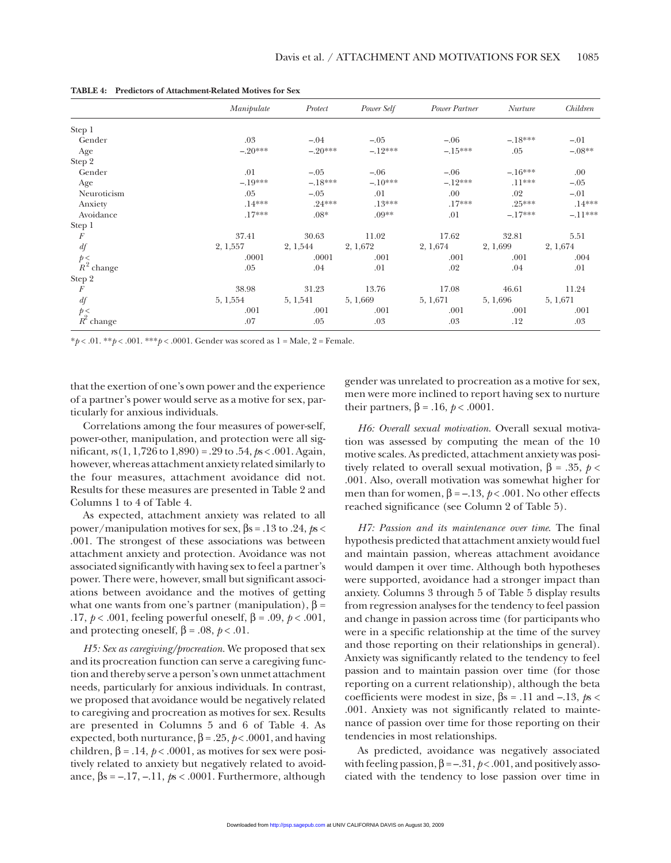|                        | Manipulate | Protect   | Power Self | Power Partner | Nurture   | Children  |
|------------------------|------------|-----------|------------|---------------|-----------|-----------|
| Step 1                 |            |           |            |               |           |           |
| Gender                 | .03        | $-.04$    | $-.05$     | $-.06$        | $-.18***$ | $-.01$    |
| Age                    | $-.20***$  | $-.20***$ | $-.12***$  | $-.15***$     | .05       | $-.08**$  |
| Step 2                 |            |           |            |               |           |           |
| Gender                 | .01        | $-.05$    | $-.06$     | $-.06$        | $-.16***$ | .00       |
| Age                    | $-.19***$  | $-.18***$ | $-.10***$  | $-.12***$     | $.11***$  | $-.05$    |
| Neuroticism            | .05        | $-.05$    | .01        | .00.          | $.02\,$   | $-.01$    |
| Anxiety                | $.14***$   | $.24***$  | $.13***$   | $.17***$      | $.25***$  | $.14***$  |
| Avoidance              | $.17***$   | $.08*$    | $.09**$    | .01           | $-.17***$ | $-.11***$ |
| Step 1                 |            |           |            |               |           |           |
| F                      | 37.41      | 30.63     | 11.02      | 17.62         | 32.81     | 5.51      |
| df                     | 2, 1,557   | 2, 1,544  | 2, 1,672   | 2, 1,674      | 2, 1,699  | 2, 1,674  |
|                        | .0001      | .0001     | .001       | .001          | .001      | .004      |
| $\frac{p}{R^2}$ change | .05        | .04       | .01        | .02           | .04       | .01       |
| Step 2                 |            |           |            |               |           |           |
| $\boldsymbol{F}$       | 38.98      | 31.23     | 13.76      | 17.08         | 46.61     | 11.24     |
| df                     | 5, 1,554   | 5, 1,541  | 5, 1,669   | 5, 1,671      | 5, 1,696  | 5, 1,671  |
|                        | .001       | .001      | .001       | .001          | .001      | .001      |
| ${h<\atop R^2}$ change | .07        | .05       | .03        | .03           | .12       | .03       |

**TABLE 4: Predictors of Attachment-Related Motives for Sex**

 $* p < .01.$  \*\* $p < .001.$  \*\*\* $p < .0001.$  Gender was scored as  $1 =$  Male,  $2 =$  Female.

that the exertion of one's own power and the experience of a partner's power would serve as a motive for sex, particularly for anxious individuals.

Correlations among the four measures of power-self, power-other, manipulation, and protection were all significant,*r*s(1, 1,726 to 1,890) = .29 to .54, *p*s < .001. Again, however, whereas attachment anxiety related similarly to the four measures, attachment avoidance did not. Results for these measures are presented in Table 2 and Columns 1 to 4 of Table 4.

As expected, attachment anxiety was related to all power/manipulation motives for sex, βs = .13 to .24, *p*s < .001. The strongest of these associations was between attachment anxiety and protection. Avoidance was not associated significantly with having sex to feel a partner's power. There were, however, small but significant associations between avoidance and the motives of getting what one wants from one's partner (manipulation),  $\beta$  = .17, *p* < .001, feeling powerful oneself, β = .09, *p* < .001, and protecting oneself,  $β = .08, β < .01$ .

*H5: Sex as caregiving/procreation*. We proposed that sex and its procreation function can serve a caregiving function and thereby serve a person's own unmet attachment needs, particularly for anxious individuals. In contrast, we proposed that avoidance would be negatively related to caregiving and procreation as motives for sex. Results are presented in Columns 5 and 6 of Table 4. As expected, both nurturance,  $β = .25, β < .0001$ , and having children,  $β = .14, *p* < .0001$ , as motives for sex were positively related to anxiety but negatively related to avoidance, βs = –.17, –.11, *p*s < .0001. Furthermore, although gender was unrelated to procreation as a motive for sex, men were more inclined to report having sex to nurture their partners,  $β = .16, p < .0001$ .

*H6: Overall sexual motivation*. Overall sexual motivation was assessed by computing the mean of the 10 motive scales. As predicted, attachment anxiety was positively related to overall sexual motivation,  $β = .35, p <$ .001. Also, overall motivation was somewhat higher for men than for women,  $β = -.13, *p* < .001$ . No other effects reached significance (see Column 2 of Table 5).

*H7: Passion and its maintenance over time*. The final hypothesis predicted that attachment anxiety would fuel and maintain passion, whereas attachment avoidance would dampen it over time. Although both hypotheses were supported, avoidance had a stronger impact than anxiety. Columns 3 through 5 of Table 5 display results from regression analyses for the tendency to feel passion and change in passion across time (for participants who were in a specific relationship at the time of the survey and those reporting on their relationships in general). Anxiety was significantly related to the tendency to feel passion and to maintain passion over time (for those reporting on a current relationship), although the beta coefficients were modest in size, βs = .11 and –.13, *p*s < .001. Anxiety was not significantly related to maintenance of passion over time for those reporting on their tendencies in most relationships.

As predicted, avoidance was negatively associated with feeling passion,  $\beta = -.31, \, \rho < .001$ , and positively associated with the tendency to lose passion over time in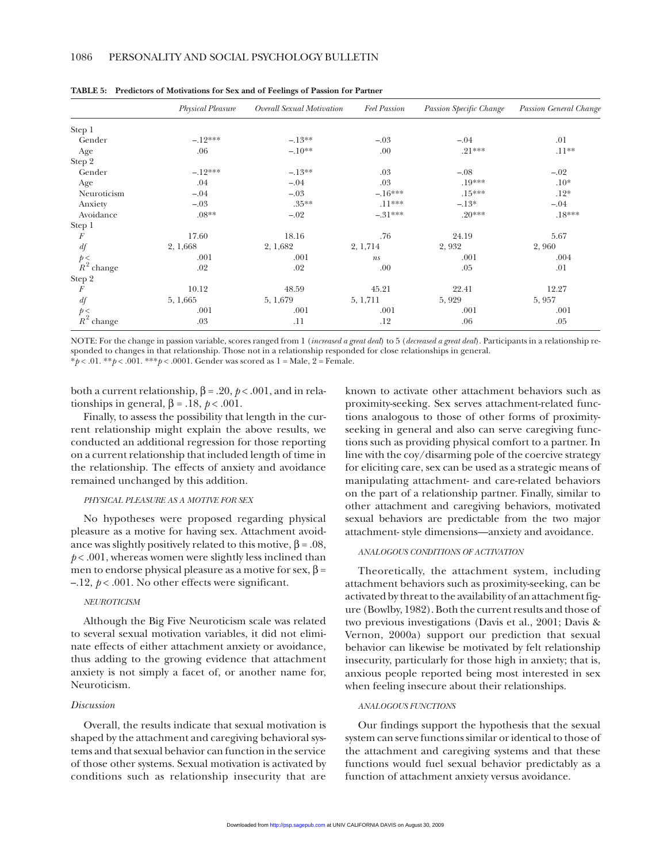|              | Physical Pleasure | Overall Sexual Motivation | <b>Feel Passion</b> | Passion Specific Change | Passion General Change |
|--------------|-------------------|---------------------------|---------------------|-------------------------|------------------------|
| Step 1       |                   |                           |                     |                         |                        |
| Gender       | $-.12***$         | $-13**$                   | $-.03$              | $-.04$                  | .01                    |
| Age          | .06               | $-.10**$                  | .00                 | $.21***$                | $.11**$                |
| Step 2       |                   |                           |                     |                         |                        |
| Gender       | $-.12***$         | $-13**$                   | .03                 | $-.08$                  | $-.02$                 |
| Age          | .04               | $-.04$                    | .03                 | $.19***$                | $.10*$                 |
| Neuroticism  | $-.04$            | $-.03$                    | $-.16***$           | $.15***$                | $.12*$                 |
| Anxiety      | $-.03$            | $.35***$                  | $.11***$            | $-.13*$                 | $-.04$                 |
| Avoidance    | $.08**$           | $-.02$                    | $-.31***$           | $.20***$                | $.18***$               |
| Step 1       |                   |                           |                     |                         |                        |
| F            | 17.60             | 18.16                     | .76                 | 24.19                   | 5.67                   |
| df           | 2, 1,668          | 2, 1,682                  | 2, 1,714            | 2,932                   | 2,960                  |
| p<           | .001              | .001                      | ns                  | .001                    | .004                   |
| $R^2$ change | .02               | .02                       | .00                 | .05                     | .01                    |
| Step 2       |                   |                           |                     |                         |                        |
| F            | 10.12             | 48.59                     | 45.21               | 22.41                   | 12.27                  |
| df           | 5, 1,665          | 5, 1,679                  | 5, 1,711            | 5,929                   | 5,957                  |
| p<           | .001              | .001                      | .001                | .001                    | .001                   |
| $R^2$ change | .03               | .11                       | .12                 | .06                     | .05                    |

**TABLE 5: Predictors of Motivations for Sex and of Feelings of Passion for Partner**

NOTE: For the change in passion variable, scores ranged from 1 (*increased a great deal*) to 5 (*decreased a great deal*). Participants in a relationship responded to changes in that relationship. Those not in a relationship responded for close relationships in general. \**p* < .01. \*\**p* < .001. \*\*\**p* < .0001. Gender was scored as 1 = Male, 2 = Female.

both a current relationship,  $β = .20, β < .001$ , and in rela-

tionships in general,  $\beta = .18$ ,  $p < .001$ .

Finally, to assess the possibility that length in the current relationship might explain the above results, we conducted an additional regression for those reporting on a current relationship that included length of time in the relationship. The effects of anxiety and avoidance remained unchanged by this addition.

# *PHYSICAL PLEASURE AS A MOTIVE FOR SEX*

No hypotheses were proposed regarding physical pleasure as a motive for having sex. Attachment avoidance was slightly positively related to this motive,  $\beta = .08$ , *p* < .001, whereas women were slightly less inclined than men to endorse physical pleasure as a motive for sex,  $\beta$  =  $-12$ ,  $p < .001$ . No other effects were significant.

# *NEUROTICISM*

Although the Big Five Neuroticism scale was related to several sexual motivation variables, it did not eliminate effects of either attachment anxiety or avoidance, thus adding to the growing evidence that attachment anxiety is not simply a facet of, or another name for, Neuroticism.

# *Discussion*

Overall, the results indicate that sexual motivation is shaped by the attachment and caregiving behavioral systems and that sexual behavior can function in the service of those other systems. Sexual motivation is activated by conditions such as relationship insecurity that are

known to activate other attachment behaviors such as proximity-seeking. Sex serves attachment-related functions analogous to those of other forms of proximityseeking in general and also can serve caregiving functions such as providing physical comfort to a partner. In line with the coy/disarming pole of the coercive strategy for eliciting care, sex can be used as a strategic means of manipulating attachment- and care-related behaviors on the part of a relationship partner. Finally, similar to other attachment and caregiving behaviors, motivated sexual behaviors are predictable from the two major attachment- style dimensions—anxiety and avoidance.

#### *ANALOGOUS CONDITIONS OF ACTIVATION*

Theoretically, the attachment system, including attachment behaviors such as proximity-seeking, can be activated by threat to the availability of an attachment figure (Bowlby, 1982). Both the current results and those of two previous investigations (Davis et al., 2001; Davis & Vernon, 2000a) support our prediction that sexual behavior can likewise be motivated by felt relationship insecurity, particularly for those high in anxiety; that is, anxious people reported being most interested in sex when feeling insecure about their relationships.

# *ANALOGOUS FUNCTIONS*

Our findings support the hypothesis that the sexual system can serve functions similar or identical to those of the attachment and caregiving systems and that these functions would fuel sexual behavior predictably as a function of attachment anxiety versus avoidance.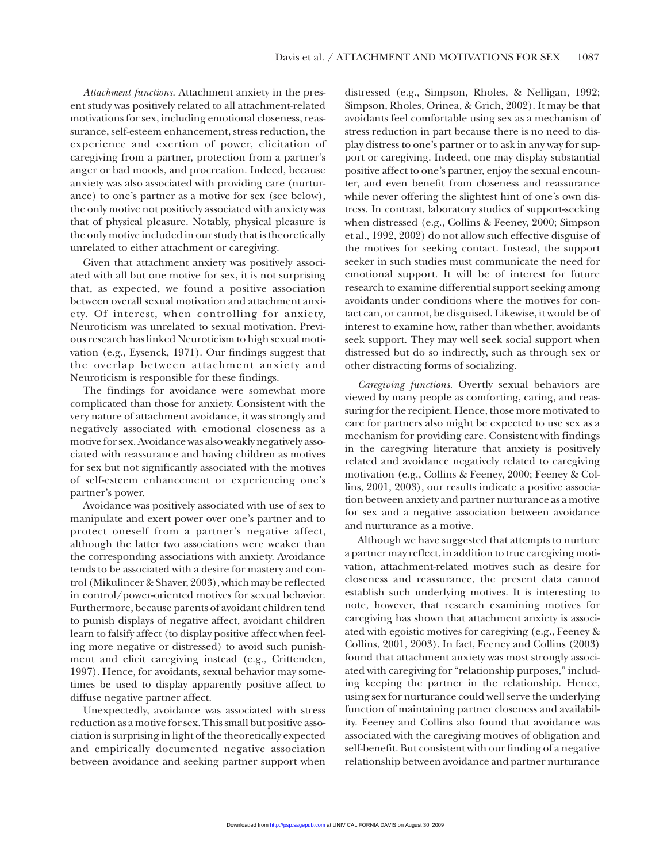*Attachment functions*. Attachment anxiety in the present study was positively related to all attachment-related motivations for sex, including emotional closeness, reassurance, self-esteem enhancement, stress reduction, the experience and exertion of power, elicitation of caregiving from a partner, protection from a partner's anger or bad moods, and procreation. Indeed, because anxiety was also associated with providing care (nurturance) to one's partner as a motive for sex (see below), the only motive not positively associated with anxiety was that of physical pleasure. Notably, physical pleasure is the only motive included in our study that is theoretically unrelated to either attachment or caregiving.

Given that attachment anxiety was positively associated with all but one motive for sex, it is not surprising that, as expected, we found a positive association between overall sexual motivation and attachment anxiety. Of interest, when controlling for anxiety, Neuroticism was unrelated to sexual motivation. Previous research has linked Neuroticism to high sexual motivation (e.g., Eysenck, 1971). Our findings suggest that the overlap between attachment anxiety and Neuroticism is responsible for these findings.

The findings for avoidance were somewhat more complicated than those for anxiety. Consistent with the very nature of attachment avoidance, it was strongly and negatively associated with emotional closeness as a motive for sex. Avoidance was also weakly negatively associated with reassurance and having children as motives for sex but not significantly associated with the motives of self-esteem enhancement or experiencing one's partner's power.

Avoidance was positively associated with use of sex to manipulate and exert power over one's partner and to protect oneself from a partner's negative affect, although the latter two associations were weaker than the corresponding associations with anxiety. Avoidance tends to be associated with a desire for mastery and control (Mikulincer & Shaver, 2003), which may be reflected in control/power-oriented motives for sexual behavior. Furthermore, because parents of avoidant children tend to punish displays of negative affect, avoidant children learn to falsify affect (to display positive affect when feeling more negative or distressed) to avoid such punishment and elicit caregiving instead (e.g., Crittenden, 1997). Hence, for avoidants, sexual behavior may sometimes be used to display apparently positive affect to diffuse negative partner affect.

Unexpectedly, avoidance was associated with stress reduction as a motive for sex. This small but positive association is surprising in light of the theoretically expected and empirically documented negative association between avoidance and seeking partner support when distressed (e.g., Simpson, Rholes, & Nelligan, 1992; Simpson, Rholes, Orinea, & Grich, 2002). It may be that avoidants feel comfortable using sex as a mechanism of stress reduction in part because there is no need to display distress to one's partner or to ask in any way for support or caregiving. Indeed, one may display substantial positive affect to one's partner, enjoy the sexual encounter, and even benefit from closeness and reassurance while never offering the slightest hint of one's own distress. In contrast, laboratory studies of support-seeking when distressed (e.g., Collins & Feeney, 2000; Simpson et al., 1992, 2002) do not allow such effective disguise of the motives for seeking contact. Instead, the support seeker in such studies must communicate the need for emotional support. It will be of interest for future research to examine differential support seeking among avoidants under conditions where the motives for contact can, or cannot, be disguised. Likewise, it would be of interest to examine how, rather than whether, avoidants seek support. They may well seek social support when distressed but do so indirectly, such as through sex or other distracting forms of socializing.

*Caregiving functions*. Overtly sexual behaviors are viewed by many people as comforting, caring, and reassuring for the recipient. Hence, those more motivated to care for partners also might be expected to use sex as a mechanism for providing care. Consistent with findings in the caregiving literature that anxiety is positively related and avoidance negatively related to caregiving motivation (e.g., Collins & Feeney, 2000; Feeney & Collins, 2001, 2003), our results indicate a positive association between anxiety and partner nurturance as a motive for sex and a negative association between avoidance and nurturance as a motive.

Although we have suggested that attempts to nurture a partner may reflect, in addition to true caregiving motivation, attachment-related motives such as desire for closeness and reassurance, the present data cannot establish such underlying motives. It is interesting to note, however, that research examining motives for caregiving has shown that attachment anxiety is associated with egoistic motives for caregiving (e.g., Feeney & Collins, 2001, 2003). In fact, Feeney and Collins (2003) found that attachment anxiety was most strongly associated with caregiving for "relationship purposes," including keeping the partner in the relationship. Hence, using sex for nurturance could well serve the underlying function of maintaining partner closeness and availability. Feeney and Collins also found that avoidance was associated with the caregiving motives of obligation and self-benefit. But consistent with our finding of a negative relationship between avoidance and partner nurturance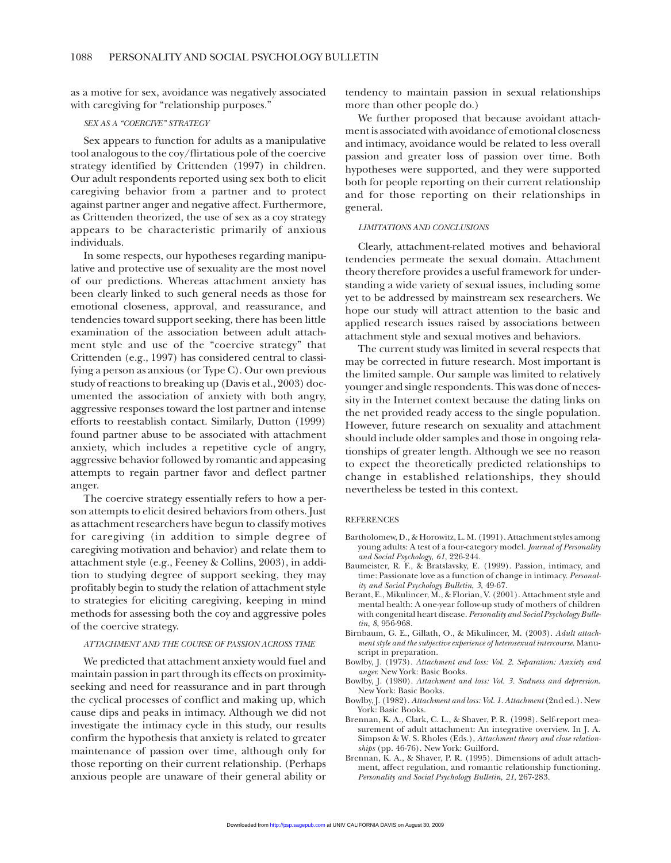as a motive for sex, avoidance was negatively associated with caregiving for "relationship purposes."

## *SEX AS A "COERCIVE" STRATEGY*

Sex appears to function for adults as a manipulative tool analogous to the coy/flirtatious pole of the coercive strategy identified by Crittenden (1997) in children. Our adult respondents reported using sex both to elicit caregiving behavior from a partner and to protect against partner anger and negative affect. Furthermore, as Crittenden theorized, the use of sex as a coy strategy appears to be characteristic primarily of anxious individuals.

In some respects, our hypotheses regarding manipulative and protective use of sexuality are the most novel of our predictions. Whereas attachment anxiety has been clearly linked to such general needs as those for emotional closeness, approval, and reassurance, and tendencies toward support seeking, there has been little examination of the association between adult attachment style and use of the "coercive strategy" that Crittenden (e.g., 1997) has considered central to classifying a person as anxious (or Type C). Our own previous study of reactions to breaking up (Davis et al., 2003) documented the association of anxiety with both angry, aggressive responses toward the lost partner and intense efforts to reestablish contact. Similarly, Dutton (1999) found partner abuse to be associated with attachment anxiety, which includes a repetitive cycle of angry, aggressive behavior followed by romantic and appeasing attempts to regain partner favor and deflect partner anger.

The coercive strategy essentially refers to how a person attempts to elicit desired behaviors from others. Just as attachment researchers have begun to classify motives for caregiving (in addition to simple degree of caregiving motivation and behavior) and relate them to attachment style (e.g., Feeney & Collins, 2003), in addition to studying degree of support seeking, they may profitably begin to study the relation of attachment style to strategies for eliciting caregiving, keeping in mind methods for assessing both the coy and aggressive poles of the coercive strategy.

#### *ATTACHMENT AND THE COURSE OF PASSION ACROSS TIME*

We predicted that attachment anxiety would fuel and maintain passion in part through its effects on proximityseeking and need for reassurance and in part through the cyclical processes of conflict and making up, which cause dips and peaks in intimacy. Although we did not investigate the intimacy cycle in this study, our results confirm the hypothesis that anxiety is related to greater maintenance of passion over time, although only for those reporting on their current relationship. (Perhaps anxious people are unaware of their general ability or

tendency to maintain passion in sexual relationships more than other people do.)

We further proposed that because avoidant attachment is associated with avoidance of emotional closeness and intimacy, avoidance would be related to less overall passion and greater loss of passion over time. Both hypotheses were supported, and they were supported both for people reporting on their current relationship and for those reporting on their relationships in general.

# *LIMITATIONS AND CONCLUSIONS*

Clearly, attachment-related motives and behavioral tendencies permeate the sexual domain. Attachment theory therefore provides a useful framework for understanding a wide variety of sexual issues, including some yet to be addressed by mainstream sex researchers. We hope our study will attract attention to the basic and applied research issues raised by associations between attachment style and sexual motives and behaviors.

The current study was limited in several respects that may be corrected in future research. Most important is the limited sample. Our sample was limited to relatively younger and single respondents. This was done of necessity in the Internet context because the dating links on the net provided ready access to the single population. However, future research on sexuality and attachment should include older samples and those in ongoing relationships of greater length. Although we see no reason to expect the theoretically predicted relationships to change in established relationships, they should nevertheless be tested in this context.

# **REFERENCES**

- Bartholomew, D., & Horowitz, L. M. (1991). Attachment styles among young adults: A test of a four-category model. *Journal of Personality and Social Psychology*, *61*, 226-244.
- Baumeister, R. F., & Bratslavsky, E. (1999). Passion, intimacy, and time: Passionate love as a function of change in intimacy. *Personality and Social Psychology Bulletin*, *3*, 49-67.
- Berant, E., Mikulincer, M., & Florian, V. (2001). Attachment style and mental health: A one-year follow-up study of mothers of children with congenital heart disease. *Personality and Social Psychology Bulletin*, *8*, 956-968.
- Birnbaum, G. E., Gillath, O., & Mikulincer, M. (2003). *Adult attachment style and the subjective experience of heterosexual intercourse*. Manuscript in preparation.
- Bowlby, J. (1973). *Attachment and loss: Vol. 2. Separation: Anxiety and anger*. New York: Basic Books.
- Bowlby, J. (1980). *Attachment and loss: Vol. 3. Sadness and depression*. New York: Basic Books.
- Bowlby, J. (1982). *Attachment and loss: Vol. 1. Attachment* (2nd ed.). New York: Basic Books.
- Brennan, K. A., Clark, C. L., & Shaver, P. R. (1998). Self-report measurement of adult attachment: An integrative overview. In J. A. Simpson & W. S. Rholes (Eds.), *Attachment theory and close relationships* (pp. 46-76). New York: Guilford.
- Brennan, K. A., & Shaver, P. R. (1995). Dimensions of adult attachment, affect regulation, and romantic relationship functioning. *Personality and Social Psychology Bulletin*, *21*, 267-283.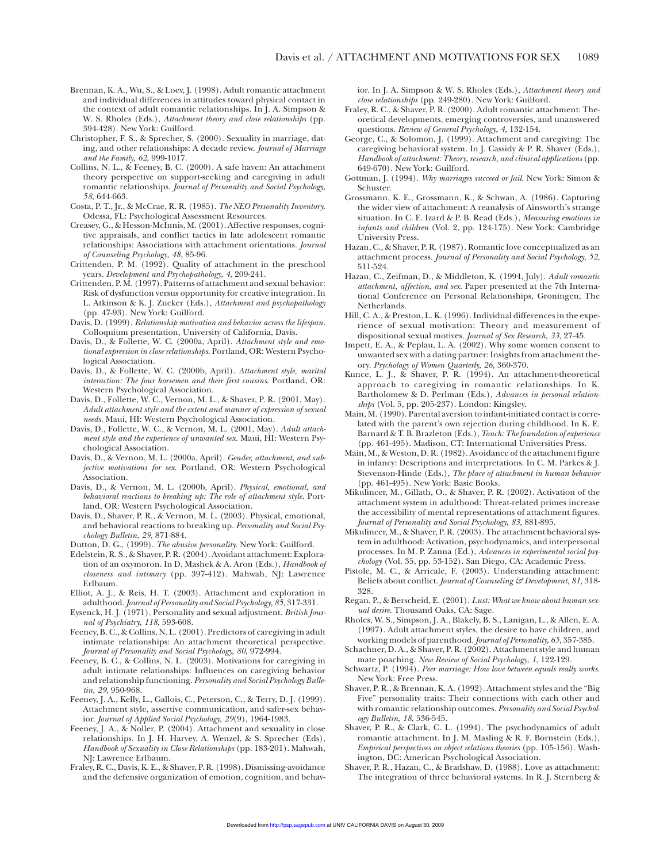- Brennan, K. A., Wu, S., & Loev, J. (1998). Adult romantic attachment and individual differences in attitudes toward physical contact in the context of adult romantic relationships. In J. A. Simpson & W. S. Rholes (Eds.), *Attachment theory and close relationships* (pp. 394-428). New York: Guilford.
- Christopher, F. S., & Sprecher, S. (2000). Sexuality in marriage, dating, and other relationships: A decade review. *Journal of Marriage and the Family*, *62*, 999-1017.
- Collins, N. L., & Feeney, B. C. (2000). A safe haven: An attachment theory perspective on support-seeking and caregiving in adult romantic relationships. *Journal of Personality and Social Psychology*, *58*, 644-663.
- Costa, P. T., Jr., & McCrae, R. R. (1985). *The NEO Personality Inventory*. Odessa, FL: Psychological Assessment Resources.
- Creasey, G., & Hesson-McInnis, M. (2001). Affective responses, cognitive appraisals, and conflict tactics in late adolescent romantic relationships: Associations with attachment orientations. *Journal of Counseling Psychology, 48,* 85-96.
- Crittenden, P. M. (1992). Quality of attachment in the preschool years. *Development and Psychopathology*, *4*, 209-241.
- Crittenden, P. M. (1997). Patterns of attachment and sexual behavior: Risk of dysfunction versus opportunity for creative integration. In L. Atkinson & K. J. Zucker (Eds.), *Attachment and psychopathology* (pp. 47-93). New York: Guilford.
- Davis, D. (1999). *Relationship motivation and behavior across the lifespan.* Colloquium presentation, University of California, Davis.
- Davis, D., & Follette, W. C. (2000a, April). *Attachment style and emotional expression in close relationships*. Portland, OR: Western Psychological Association.
- Davis, D., & Follette, W. C. (2000b, April). *Attachment style, marital interaction: The four horsemen and their first cousins*. Portland, OR: Western Psychological Association.
- Davis, D., Follette, W. C., Vernon, M. L., & Shaver, P. R. (2001, May). *Adult attachment style and the extent and manner of expression of sexual needs*. Maui, HI: Western Psychological Association.
- Davis, D., Follette, W. C., & Vernon, M. L. (2001, May). *Adult attachment style and the experience of unwanted sex.* Maui, HI: Western Psychological Association.
- Davis, D., & Vernon, M. L. (2000a, April). *Gender, attachment, and subjective motivations for sex*. Portland, OR: Western Psychological Association.
- Davis, D., & Vernon, M. L. (2000b, April). *Physical, emotional, and behavioral reactions to breaking up: The role of attachment style*. Portland, OR: Western Psychological Association.
- Davis, D., Shaver, P. R., & Vernon, M. L. (2003). Physical, emotional, and behavioral reactions to breaking up. *Personality and Social Psychology Bulletin*, *29*, 871-884.
- Dutton, D. G., (1999). *The abusive personality*. New York: Guilford.
- Edelstein, R. S., & Shaver, P. R. (2004). Avoidant attachment: Exploration of an oxymoron. In D. Mashek & A. Aron (Eds.), *Handbook of closeness and intimacy* (pp. 397-412). Mahwah, NJ: Lawrence Erlbaum.
- Elliot, A. J., & Reis, H. T. (2003). Attachment and exploration in adulthood. *Journal of Personality and Social Psychology, 85*, 317-331.
- Eysenck, H. J. (1971). Personality and sexual adjustment. *British Journal of Psychiatry*, *118*, 593-608.
- Feeney, B. C., & Collins, N. L. (2001). Predictors of caregiving in adult intimate relationships: An attachment theoretical perspective. *Journal of Personality and Social Psychology*, *80*, 972-994.
- Feeney, B. C., & Collins, N. L. (2003). Motivations for caregiving in adult intimate relationships: Influences on caregiving behavior and relationship functioning. *Personality and Social Psychology Bulletin*, *29*, 950-968.
- Feeney, J. A., Kelly, L., Gallois, C., Peterson, C., & Terry, D. J. (1999). Attachment style, assertive communication, and safer-sex behavior. *Journal of Applied Social Psychology*, *29*(9), 1964-1983.
- Feeney, J. A., & Noller, P. (2004). Attachment and sexuality in close relationships. In J. H. Harvey, A. Wenzel, & S. Sprecher (Eds), *Handbook of Sexuality in Close Relationships* (pp. 183-201). Mahwah, NJ: Lawrence Erlbaum.
- Fraley, R. C., Davis, K. E., & Shaver, P. R. (1998). Dismissing-avoidance and the defensive organization of emotion, cognition, and behav-

ior. In J. A. Simpson & W. S. Rholes (Eds.), *Attachment theory and close relationships* (pp. 249-280). New York: Guilford.

- Fraley, R. C., & Shaver, P. R. (2000). Adult romantic attachment: Theoretical developments, emerging controversies, and unanswered questions. *Review of General Psychology*, *4*, 132-154.
- George, C., & Solomon, J. (1999). Attachment and caregiving: The caregiving behavioral system. In J. Cassidy & P. R. Shaver (Eds.), *Handbook of attachment: Theory, research, and clinical applications* (pp. 649-670). New York: Guilford.
- Gottman, J. (1994). *Why marriages succeed or fail*. New York: Simon & Schuster.
- Grossmann, K. E., Grossmann, K., & Schwan, A. (1986). Capturing the wider view of attachment: A reanalysis of Ainsworth's strange situation. In C. E. Izard & P. B. Read (Eds.), *Measuring emotions in infants and children* (Vol. 2, pp. 124-175). New York: Cambridge University Press.
- Hazan, C., & Shaver, P. R. (1987). Romantic love conceptualized as an attachment process. *Journal of Personality and Social Psychology*, *52*, 511-524.
- Hazan, C., Zeifman, D., & Middleton, K. (1994, July). *Adult romantic attachment, affection, and sex*. Paper presented at the 7th International Conference on Personal Relationships, Groningen, The Netherlands.
- Hill, C. A., & Preston, L. K. (1996). Individual differences in the experience of sexual motivation: Theory and measurement of dispositional sexual motives. *Journal of Sex Research*, *33*, 27-45.
- Impett, E. A., & Peplau, L. A. (2002). Why some women consent to unwanted sex with a dating partner: Insights from attachment theory. *Psychology of Women Quarterly*, *26*, 360-370.
- Kunce, L. J., & Shaver, P. R. (1994). An attachment-theoretical approach to caregiving in romantic relationships. In K. Bartholomew & D. Perlman (Eds.), *Advances in personal relationships* (Vol. 5, pp. 205-237). London: Kingsley.
- Main, M. (1990). Parental aversion to infant-initiated contact is correlated with the parent's own rejection during childhood. In K. E. Barnard & T. B. Brazleton (Eds.), *Touch: The foundation of experience* (pp. 461-495). Madison, CT: International Universities Press.
- Main, M., & Weston, D. R. (1982). Avoidance of the attachment figure in infancy: Descriptions and interpretations. In C. M. Parkes & J. Stevenson-Hinde (Eds.), *The place of attachment in human behavior* (pp. 461-495). New York: Basic Books.
- Mikulincer, M., Gillath, O., & Shaver, P. R. (2002). Activation of the attachment system in adulthood: Threat-related primes increase the accessibility of mental representations of attachment figures. *Journal of Personality and Social Psychology*, *83*, 881-895.
- Mikulincer, M., & Shaver, P. R. (2003). The attachment behavioral system in adulthood: Activation, psychodynamics, and interpersonal processes. In M. P. Zanna (Ed.), *Advances in experimental social psychology* (Vol. 35, pp. 53-152). San Diego, CA: Academic Press.
- Pistole, M. C., & Arricale, F. (2003). Understanding attachment: Beliefs about conflict. *Journal of Counseling & Development, 81,* 318- 328.
- Regan, P., & Berscheid, E. (2001). *Lust: What we know about human sexual desire*. Thousand Oaks, CA: Sage.
- Rholes, W. S., Simpson, J. A., Blakely, B. S., Lanigan, L., & Allen, E. A. (1997). Adult attachment styles, the desire to have children, and working models of parenthood. *Journal of Personality*, *65*, 357-385.
- Schachner, D. A., & Shaver, P. R. (2002). Attachment style and human mate poaching. *New Review of Social Psychology*, *1*, 122-129.
- Schwartz, P. (1994). *Peer marriage: How love between equals really works*. New York: Free Press.
- Shaver, P. R., & Brennan, K. A. (1992). Attachment styles and the "Big Five" personality traits: Their connections with each other and with romantic relationship outcomes. *Personality and Social Psychology Bulletin*, *18*, 536-545.
- Shaver, P. R., & Clark, C. L. (1994). The psychodynamics of adult romantic attachment. In J. M. Masling & R. F. Bornstein (Eds.), *Empirical perspectives on object relations theories* (pp. 105-156). Washington, DC: American Psychological Association.
- Shaver, P. R., Hazan, C., & Bradshaw, D. (1988). Love as attachment: The integration of three behavioral systems. In R. J. Sternberg &